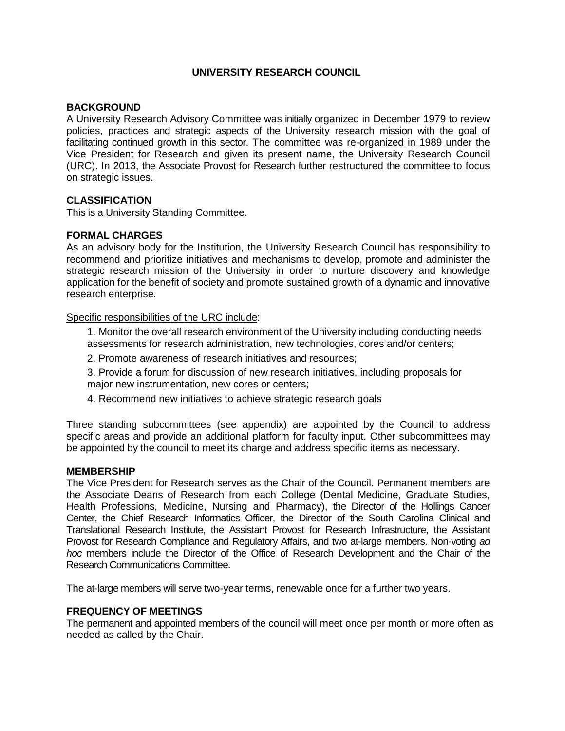# **UNIVERSITY RESEARCH COUNCIL**

# **BACKGROUND**

A University Research Advisory Committee was initially organized in December 1979 to review policies, practices and strategic aspects of the University research mission with the goal of facilitating continued growth in this sector. The committee was re-organized in 1989 under the Vice President for Research and given its present name, the University Research Council (URC). In 2013, the Associate Provost for Research further restructured the committee to focus on strategic issues.

# **CLASSIFICATION**

This is a University Standing Committee.

# **FORMAL CHARGES**

As an advisory body for the Institution, the University Research Council has responsibility to recommend and prioritize initiatives and mechanisms to develop, promote and administer the strategic research mission of the University in order to nurture discovery and knowledge application for the benefit of society and promote sustained growth of a dynamic and innovative research enterprise.

Specific responsibilities of the URC include:

- 1. Monitor the overall research environment of the University including conducting needs assessments for research administration, new technologies, cores and/or centers;
- 2. Promote awareness of research initiatives and resources;

3. Provide a forum for discussion of new research initiatives, including proposals for major new instrumentation, new cores or centers;

4. Recommend new initiatives to achieve strategic research goals

Three standing subcommittees (see appendix) are appointed by the Council to address specific areas and provide an additional platform for faculty input. Other subcommittees may be appointed by the council to meet its charge and address specific items as necessary.

# **MEMBERSHIP**

The Vice President for Research serves as the Chair of the Council. Permanent members are the Associate Deans of Research from each College (Dental Medicine, Graduate Studies, Health Professions, Medicine, Nursing and Pharmacy), the Director of the Hollings Cancer Center, the Chief Research Informatics Officer, the Director of the South Carolina Clinical and Translational Research Institute, the Assistant Provost for Research Infrastructure, the Assistant Provost for Research Compliance and Regulatory Affairs, and two at-large members. Non-voting *ad hoc* members include the Director of the Office of Research Development and the Chair of the Research Communications Committee.

The at-large members will serve two-year terms, renewable once for a further two years.

# **FREQUENCY OF MEETINGS**

The permanent and appointed members of the council will meet once per month or more often as needed as called by the Chair.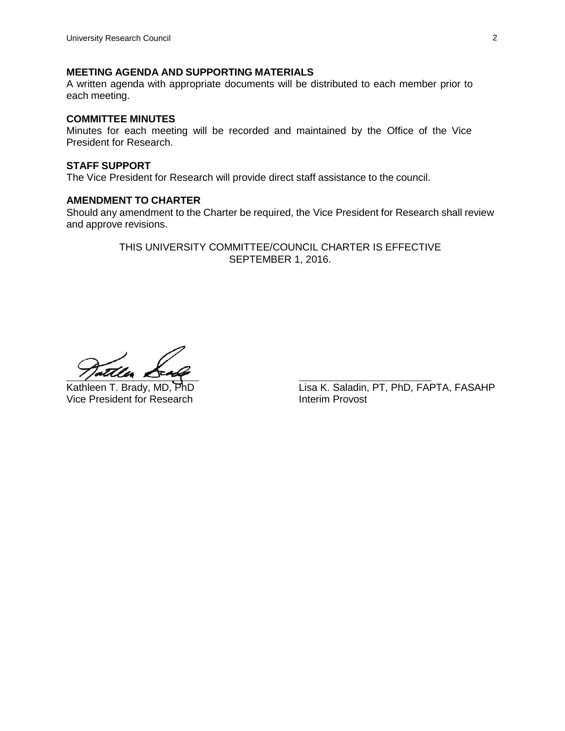### **MEETING AGENDA AND SUPPORTING MATERIALS**

A written agenda with appropriate documents will be distributed to each member prior to each meeting.

# **COMMITTEE MINUTES**

Minutes for each meeting will be recorded and maintained by the Office of the Vice President for Research.

### **STAFF SUPPORT**

The Vice President for Research will provide direct staff assistance to the council.

### **AMENDMENT TO CHARTER**

Should any amendment to the Charter be required, the Vice President for Research shall review and approve revisions.

> THIS UNIVERSITY COMMITTEE/COUNCIL CHARTER IS EFFECTIVE SEPTEMBER 1, 2016.

Kathleen T. Brady, MD. PhD Vice President for Research

Lisa K. Saladin, PT, PhD, FAPTA, FASAHP<br>Interim Provost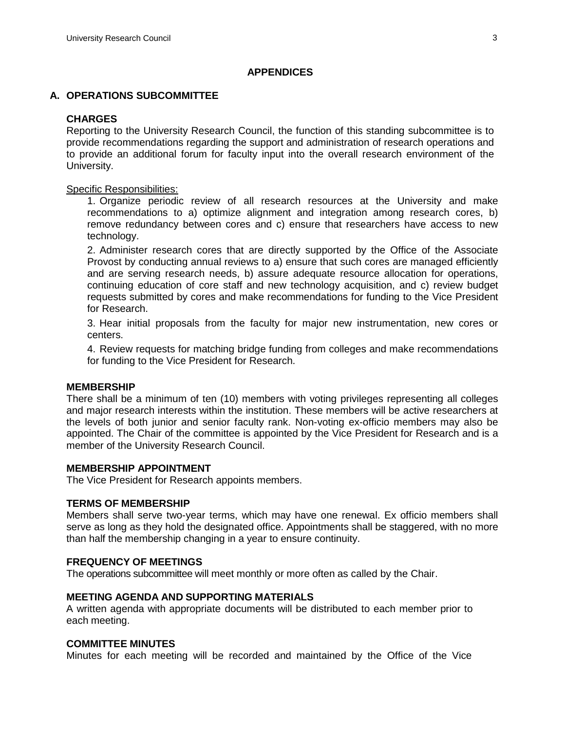# **APPENDICES**

#### **A. OPERATIONS SUBCOMMITTEE**

### **CHARGES**

Reporting to the University Research Council, the function of this standing subcommittee is to provide recommendations regarding the support and administration of research operations and to provide an additional forum for faculty input into the overall research environment of the University.

# Specific Responsibilities:

1. Organize periodic review of all research resources at the University and make recommendations to a) optimize alignment and integration among research cores, b) remove redundancy between cores and c) ensure that researchers have access to new technology.

2. Administer research cores that are directly supported by the Office of the Associate Provost by conducting annual reviews to a) ensure that such cores are managed efficiently and are serving research needs, b) assure adequate resource allocation for operations, continuing education of core staff and new technology acquisition, and c) review budget requests submitted by cores and make recommendations for funding to the Vice President for Research.

3. Hear initial proposals from the faculty for major new instrumentation, new cores or centers.

4. Review requests for matching bridge funding from colleges and make recommendations for funding to the Vice President for Research.

### **MEMBERSHIP**

There shall be a minimum of ten (10) members with voting privileges representing all colleges and major research interests within the institution. These members will be active researchers at the levels of both junior and senior faculty rank. Non-voting ex-officio members may also be appointed. The Chair of the committee is appointed by the Vice President for Research and is a member of the University Research Council.

### **MEMBERSHIP APPOINTMENT**

The Vice President for Research appoints members.

#### **TERMS OF MEMBERSHIP**

Members shall serve two-year terms, which may have one renewal. Ex officio members shall serve as long as they hold the designated office. Appointments shall be staggered, with no more than half the membership changing in a year to ensure continuity.

#### **FREQUENCY OF MEETINGS**

The operations subcommittee will meet monthly or more often as called by the Chair.

### **MEETING AGENDA AND SUPPORTING MATERIALS**

A written agenda with appropriate documents will be distributed to each member prior to each meeting.

#### **COMMITTEE MINUTES**

Minutes for each meeting will be recorded and maintained by the Office of the Vice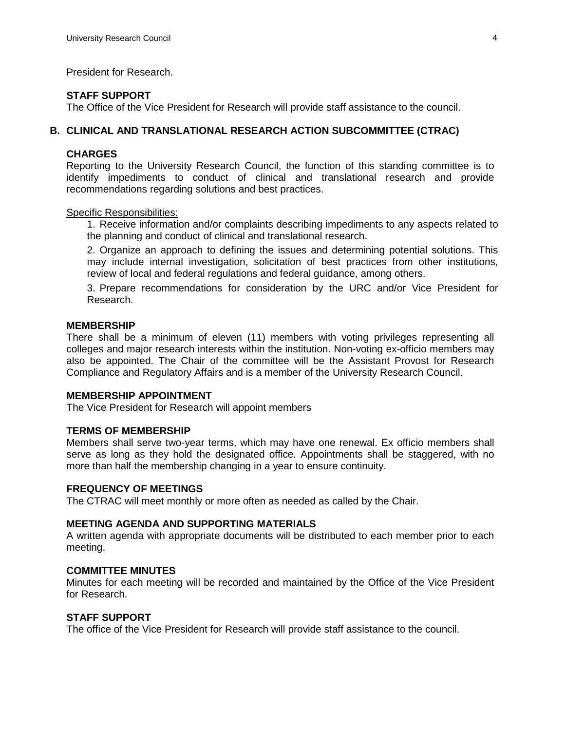President for Research.

# **STAFF SUPPORT**

The Office of the Vice President for Research will provide staff assistance to the council.

# **B. CLINICAL AND TRANSLATIONAL RESEARCH ACTION SUBCOMMITTEE (CTRAC)**

# **CHARGES**

Reporting to the University Research Council, the function of this standing committee is to identify impediments to conduct of clinical and translational research and provide recommendations regarding solutions and best practices.

### Specific Responsibilities:

1. Receive information and/or complaints describing impediments to any aspects related to the planning and conduct of clinical and translational research.

2. Organize an approach to defining the issues and determining potential solutions. This may include internal investigation, solicitation of best practices from other institutions, review of local and federal regulations and federal guidance, among others.

3. Prepare recommendations for consideration by the URC and/or Vice President for Research.

# **MEMBERSHIP**

There shall be a minimum of eleven (11) members with voting privileges representing all colleges and major research interests within the institution. Non-voting ex-officio members may also be appointed. The Chair of the committee will be the Assistant Provost for Research Compliance and Regulatory Affairs and is a member of the University Research Council.

# **MEMBERSHIP APPOINTMENT**

The Vice President for Research will appoint members

# **TERMS OF MEMBERSHIP**

Members shall serve two-year terms, which may have one renewal. Ex officio members shall serve as long as they hold the designated office. Appointments shall be staggered, with no more than half the membership changing in a year to ensure continuity.

#### **FREQUENCY OF MEETINGS**

The CTRAC will meet monthly or more often as needed as called by the Chair.

# **MEETING AGENDA AND SUPPORTING MATERIALS**

A written agenda with appropriate documents will be distributed to each member prior to each meeting.

### **COMMITTEE MINUTES**

Minutes for each meeting will be recorded and maintained by the Office of the Vice President for Research.

#### **STAFF SUPPORT**

The office of the Vice President for Research will provide staff assistance to the council.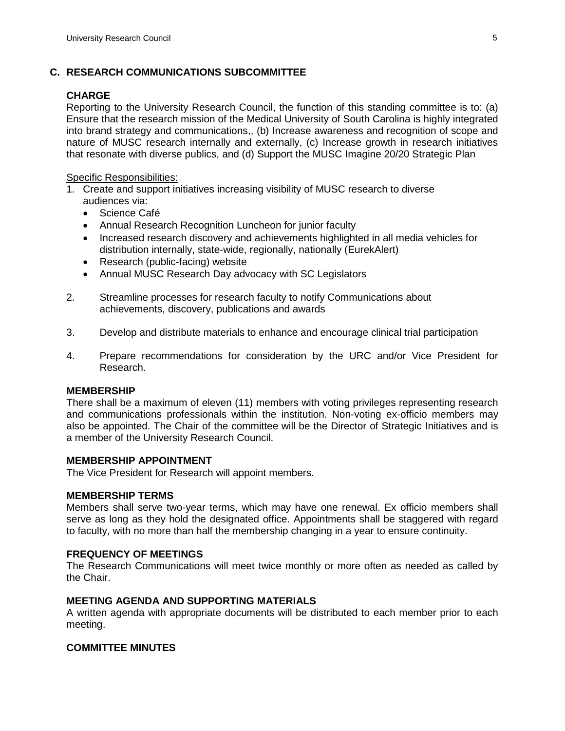# **C. RESEARCH COMMUNICATIONS SUBCOMMITTEE**

# **CHARGE**

Reporting to the University Research Council, the function of this standing committee is to: (a) Ensure that the research mission of the Medical University of South Carolina is highly integrated into brand strategy and communications,, (b) Increase awareness and recognition of scope and nature of MUSC research internally and externally, (c) Increase growth in research initiatives that resonate with diverse publics, and (d) Support the MUSC Imagine 20/20 Strategic Plan

Specific Responsibilities:

- 1. Create and support initiatives increasing visibility of MUSC research to diverse audiences via:
	- Science Café
	- Annual Research Recognition Luncheon for junior faculty
	- Increased research discovery and achievements highlighted in all media vehicles for distribution internally, state-wide, regionally, nationally (EurekAlert)
	- Research (public-facing) website
	- Annual MUSC Research Day advocacy with SC Legislators
- 2. Streamline processes for research faculty to notify Communications about achievements, discovery, publications and awards
- 3. Develop and distribute materials to enhance and encourage clinical trial participation
- 4. Prepare recommendations for consideration by the URC and/or Vice President for Research.

# **MEMBERSHIP**

There shall be a maximum of eleven (11) members with voting privileges representing research and communications professionals within the institution. Non-voting ex-officio members may also be appointed. The Chair of the committee will be the Director of Strategic Initiatives and is a member of the University Research Council.

# **MEMBERSHIP APPOINTMENT**

The Vice President for Research will appoint members.

#### **MEMBERSHIP TERMS**

Members shall serve two-year terms, which may have one renewal. Ex officio members shall serve as long as they hold the designated office. Appointments shall be staggered with regard to faculty, with no more than half the membership changing in a year to ensure continuity.

# **FREQUENCY OF MEETINGS**

The Research Communications will meet twice monthly or more often as needed as called by the Chair.

# **MEETING AGENDA AND SUPPORTING MATERIALS**

A written agenda with appropriate documents will be distributed to each member prior to each meeting.

# **COMMITTEE MINUTES**